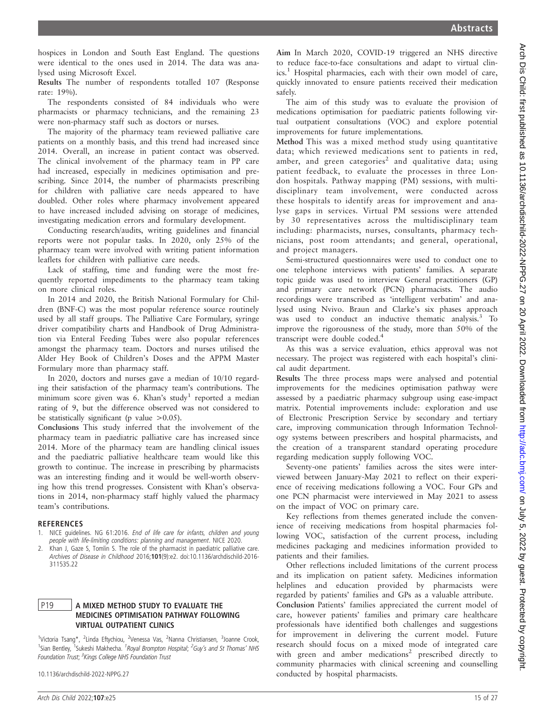hospices in London and South East England. The questions were identical to the ones used in 2014. The data was analysed using Microsoft Excel.

Results The number of respondents totalled 107 (Response rate: 19%).

The respondents consisted of 84 individuals who were pharmacists or pharmacy technicians, and the remaining 23 were non-pharmacy staff such as doctors or nurses.

The majority of the pharmacy team reviewed palliative care patients on a monthly basis, and this trend had increased since 2014. Overall, an increase in patient contact was observed. The clinical involvement of the pharmacy team in PP care had increased, especially in medicines optimisation and prescribing. Since 2014, the number of pharmacists prescribing for children with palliative care needs appeared to have doubled. Other roles where pharmacy involvement appeared to have increased included advising on storage of medicines, investigating medication errors and formulary development.

Conducting research/audits, writing guidelines and financial reports were not popular tasks. In 2020, only 25% of the pharmacy team were involved with writing patient information leaflets for children with palliative care needs.

Lack of staffing, time and funding were the most frequently reported impediments to the pharmacy team taking on more clinical roles.

In 2014 and 2020, the British National Formulary for Children (BNF-C) was the most popular reference source routinely used by all staff groups. The Palliative Care Formulary, syringe driver compatibility charts and Handbook of Drug Administration via Enteral Feeding Tubes were also popular references amongst the pharmacy team. Doctors and nurses utilised the Alder Hey Book of Children's Doses and the APPM Master Formulary more than pharmacy staff.

In 2020, doctors and nurses gave a median of 10/10 regarding their satisfaction of the pharmacy team's contributions. The minimum score given was  $6$ . Khan's study<sup>1</sup> reported a median rating of 9, but the difference observed was not considered to be statistically significant (p value  $>0.05$ ).

Conclusions This study inferred that the involvement of the pharmacy team in paediatric palliative care has increased since 2014. More of the pharmacy team are handling clinical issues and the paediatric palliative healthcare team would like this growth to continue. The increase in prescribing by pharmacists was an interesting finding and it would be well-worth observing how this trend progresses. Consistent with Khan's observations in 2014, non-pharmacy staff highly valued the pharmacy team's contributions.

#### **REFERENCES**

- 1. NICE guidelines. NG 61:2016. End of life care for infants, children and young people with life-limiting conditions: planning and management. NICE 2020.
- 2. Khan J, Gaze S, Tomlin S. The role of the pharmacist in paediatric palliative care. Archives of Disease in Childhood 2016;101(9):e2. doi:10.1136/archdischild-2016- 311535.22

### P19 A MIXED METHOD STUDY TO EVALUATE THE MEDICINES OPTIMISATION PATHWAY FOLLOWING VIRTUAL OUTPATIENT CLINICS

<sup>1</sup>Victoria Tsang\*, <sup>2</sup>Linda Eftychiou, <sup>2</sup>Venessa Vas, <sup>2</sup>Nanna Christiansen, <sup>3</sup>Joanne Crook, <sup>1</sup>Sian Bentley, <sup>1</sup>Sukeshi Makhecha. <sup>1</sup>Royal Brompton Hospital; <sup>2</sup>Guy's and St Thomas' NHS Foundation Trust; <sup>3</sup>Kings College NHS Foundation Trust

10.1136/archdischild-2022-NPPG.27

Aim In March 2020, COVID-19 triggered an NHS directive to reduce face-to-face consultations and adapt to virtual clinics.<sup>1</sup> Hospital pharmacies, each with their own model of care, quickly innovated to ensure patients received their medication safely.

The aim of this study was to evaluate the provision of medications optimisation for paediatric patients following virtual outpatient consultations (VOC) and explore potential improvements for future implementations.

Method This was a mixed method study using quantitative data; which reviewed medications sent to patients in red, amber, and green categories<sup>2</sup> and qualitative data; using patient feedback, to evaluate the processes in three London hospitals. Pathway mapping (PM) sessions, with multidisciplinary team involvement, were conducted across these hospitals to identify areas for improvement and analyse gaps in services. Virtual PM sessions were attended by 30 representatives across the multidisciplinary team including: pharmacists, nurses, consultants, pharmacy technicians, post room attendants; and general, operational, and project managers.

Semi-structured questionnaires were used to conduct one to one telephone interviews with patients' families. A separate topic guide was used to interview General practitioners (GP) and primary care network (PCN) pharmacists. The audio recordings were transcribed as 'intelligent verbatim' and analysed using Nvivo. Braun and Clarke's six phases approach was used to conduct an inductive thematic analysis.<sup>3</sup> To improve the rigorousness of the study, more than 50% of the transcript were double coded.4

As this was a service evaluation, ethics approval was not necessary. The project was registered with each hospital's clinical audit department.

Results The three process maps were analysed and potential improvements for the medicines optimisation pathway were assessed by a paediatric pharmacy subgroup using ease-impact matrix. Potential improvements include: exploration and use of Electronic Prescription Service by secondary and tertiary care, improving communication through Information Technology systems between prescribers and hospital pharmacists, and the creation of a transparent standard operating procedure regarding medication supply following VOC.

Seventy-one patients' families across the sites were interviewed between January-May 2021 to reflect on their experience of receiving medications following a VOC. Four GPs and one PCN pharmacist were interviewed in May 2021 to assess on the impact of VOC on primary care.

Key reflections from themes generated include the convenience of receiving medications from hospital pharmacies following VOC, satisfaction of the current process, including medicines packaging and medicines information provided to patients and their families.

Other reflections included limitations of the current process and its implication on patient safety. Medicines information helplines and education provided by pharmacists were regarded by patients' families and GPs as a valuable attribute. Conclusion Patients' families appreciated the current model of care, however patients' families and primary care healthcare professionals have identified both challenges and suggestions for improvement in delivering the current model. Future research should focus on a mixed mode of integrated care with green and amber medications<sup>2</sup> prescribed directly to community pharmacies with clinical screening and counselling conducted by hospital pharmacists.